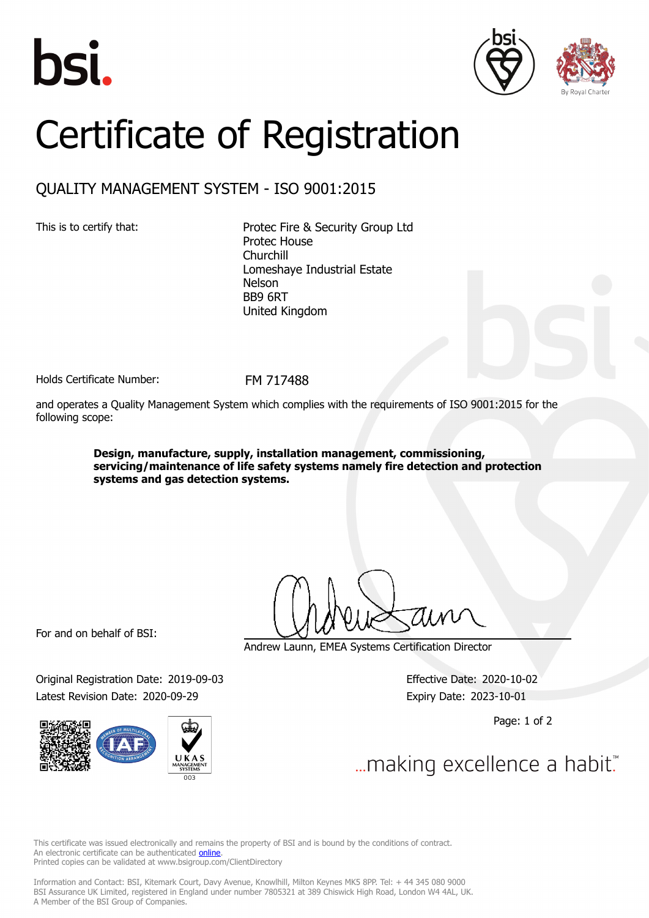





## Certificate of Registration

## QUALITY MANAGEMENT SYSTEM - ISO 9001:2015

This is to certify that: Protec Fire & Security Group Ltd Protec House Churchill Lomeshaye Industrial Estate Nelson BB9 6RT United Kingdom

Holds Certificate Number: FM 717488

and operates a Quality Management System which complies with the requirements of ISO 9001:2015 for the following scope:

> **Design, manufacture, supply, installation management, commissioning, servicing/maintenance of life safety systems namely fire detection and protection systems and gas detection systems.**

For and on behalf of BSI:

Original Registration Date: 2019-09-03 Effective Date: 2020-10-02 Latest Revision Date: 2020-09-29 Expiry Date: 2023-10-01



Andrew Launn, EMEA Systems Certification Director

Page: 1 of 2

... making excellence a habit."

This certificate was issued electronically and remains the property of BSI and is bound by the conditions of contract. An electronic certificate can be authenticated **[online](https://pgplus.bsigroup.com/CertificateValidation/CertificateValidator.aspx?CertificateNumber=FM+717488&ReIssueDate=29%2f09%2f2020&Template=uk)**. Printed copies can be validated at www.bsigroup.com/ClientDirectory

Information and Contact: BSI, Kitemark Court, Davy Avenue, Knowlhill, Milton Keynes MK5 8PP. Tel: + 44 345 080 9000 BSI Assurance UK Limited, registered in England under number 7805321 at 389 Chiswick High Road, London W4 4AL, UK. A Member of the BSI Group of Companies.